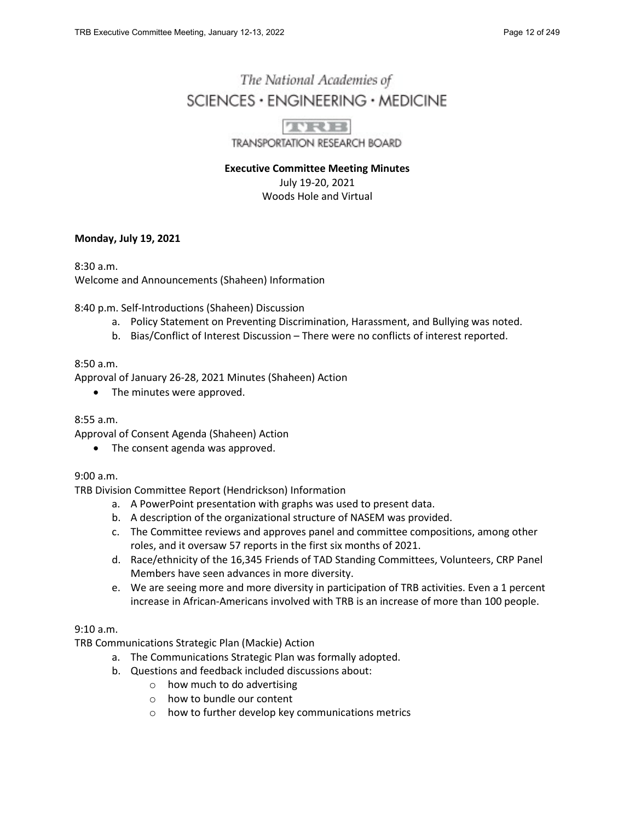# The National Academies of  $SCIENCES · ENGINEERING · MEDICINE$



TRANSPORTATION RESEARCH BOARD

**Executive Committee Meeting Minutes** July 19-20, 2021 Woods Hole and Virtual

## **Monday, July 19, 2021**

8:30 a.m. Welcome and Announcements (Shaheen) Information

8:40 p.m. Self-Introductions (Shaheen) Discussion

- a. Policy Statement on Preventing Discrimination, Harassment, and Bullying was noted.
- b. Bias/Conflict of Interest Discussion There were no conflicts of interest reported.

## 8:50 a.m.

Approval of January 26-28, 2021 Minutes (Shaheen) Action

• The minutes were approved.

## 8:55 a.m.

Approval of Consent Agenda (Shaheen) Action

• The consent agenda was approved.

## 9:00 a.m.

TRB Division Committee Report (Hendrickson) Information

- a. A PowerPoint presentation with graphs was used to present data.
- b. A description of the organizational structure of NASEM was provided.
- c. The Committee reviews and approves panel and committee compositions, among other roles, and it oversaw 57 reports in the first six months of 2021.
- d. Race/ethnicity of the 16,345 Friends of TAD Standing Committees, Volunteers, CRP Panel Members have seen advances in more diversity.
- e. We are seeing more and more diversity in participation of TRB activities. Even a 1 percent increase in African-Americans involved with TRB is an increase of more than 100 people.

## 9:10 a.m.

TRB Communications Strategic Plan (Mackie) Action

- a. The Communications Strategic Plan was formally adopted.
- b. Questions and feedback included discussions about:
	- o how much to do advertising
	- o how to bundle our content
	- o how to further develop key communications metrics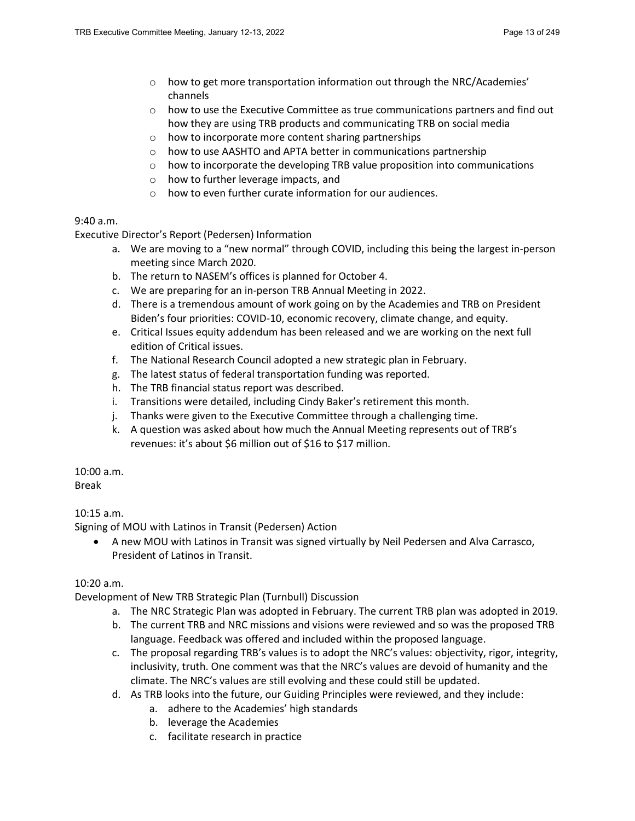- $\circ$  how to get more transportation information out through the NRC/Academies' channels
- o how to use the Executive Committee as true communications partners and find out how they are using TRB products and communicating TRB on social media
- o how to incorporate more content sharing partnerships
- o how to use AASHTO and APTA better in communications partnership
- o how to incorporate the developing TRB value proposition into communications
- o how to further leverage impacts, and
- o how to even further curate information for our audiences.

## 9:40 a.m.

Executive Director's Report (Pedersen) Information

- a. We are moving to a "new normal" through COVID, including this being the largest in-person meeting since March 2020.
- b. The return to NASEM's offices is planned for October 4.
- c. We are preparing for an in-person TRB Annual Meeting in 2022.
- d. There is a tremendous amount of work going on by the Academies and TRB on President Biden's four priorities: COVID-10, economic recovery, climate change, and equity.
- e. Critical Issues equity addendum has been released and we are working on the next full edition of Critical issues.
- f. The National Research Council adopted a new strategic plan in February.
- g. The latest status of federal transportation funding was reported.
- h. The TRB financial status report was described.
- i. Transitions were detailed, including Cindy Baker's retirement this month.
- j. Thanks were given to the Executive Committee through a challenging time.
- k. A question was asked about how much the Annual Meeting represents out of TRB's revenues: it's about \$6 million out of \$16 to \$17 million.

10:00 a.m.

Break

# 10:15 a.m.

Signing of MOU with Latinos in Transit (Pedersen) Action

• A new MOU with Latinos in Transit was signed virtually by Neil Pedersen and Alva Carrasco, President of Latinos in Transit.

## 10:20 a.m.

Development of New TRB Strategic Plan (Turnbull) Discussion

- a. The NRC Strategic Plan was adopted in February. The current TRB plan was adopted in 2019.
- b. The current TRB and NRC missions and visions were reviewed and so was the proposed TRB language. Feedback was offered and included within the proposed language.
- c. The proposal regarding TRB's values is to adopt the NRC's values: objectivity, rigor, integrity, inclusivity, truth. One comment was that the NRC's values are devoid of humanity and the climate. The NRC's values are still evolving and these could still be updated.
- d. As TRB looks into the future, our Guiding Principles were reviewed, and they include:
	- a. adhere to the Academies' high standards
	- b. leverage the Academies
	- c. facilitate research in practice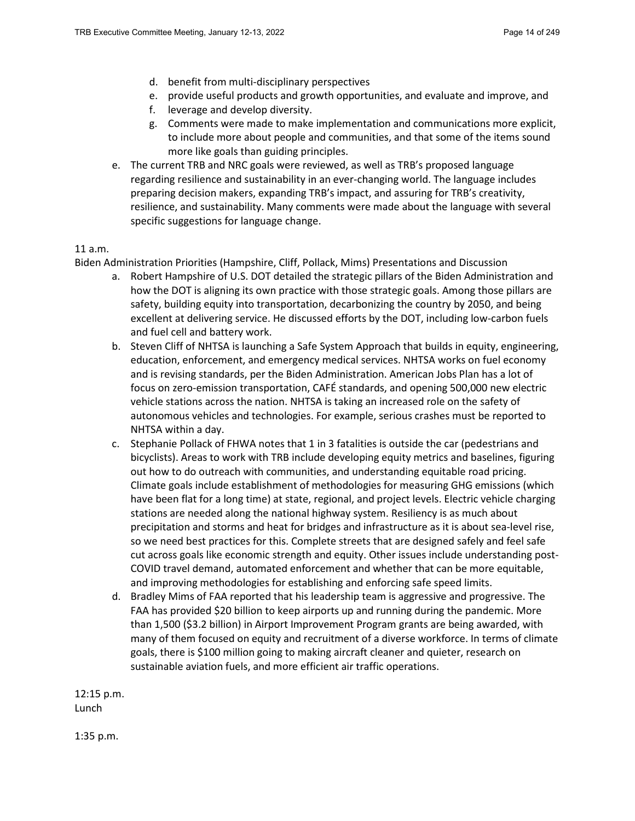- d. benefit from multi-disciplinary perspectives
- e. provide useful products and growth opportunities, and evaluate and improve, and
- f. leverage and develop diversity.
- g. Comments were made to make implementation and communications more explicit, to include more about people and communities, and that some of the items sound more like goals than guiding principles.
- e. The current TRB and NRC goals were reviewed, as well as TRB's proposed language regarding resilience and sustainability in an ever-changing world. The language includes preparing decision makers, expanding TRB's impact, and assuring for TRB's creativity, resilience, and sustainability. Many comments were made about the language with several specific suggestions for language change.

#### 11 a.m.

Biden Administration Priorities (Hampshire, Cliff, Pollack, Mims) Presentations and Discussion

- a. Robert Hampshire of U.S. DOT detailed the strategic pillars of the Biden Administration and how the DOT is aligning its own practice with those strategic goals. Among those pillars are safety, building equity into transportation, decarbonizing the country by 2050, and being excellent at delivering service. He discussed efforts by the DOT, including low-carbon fuels and fuel cell and battery work.
- b. Steven Cliff of NHTSA is launching a Safe System Approach that builds in equity, engineering, education, enforcement, and emergency medical services. NHTSA works on fuel economy and is revising standards, per the Biden Administration. American Jobs Plan has a lot of focus on zero-emission transportation, CAFÉ standards, and opening 500,000 new electric vehicle stations across the nation. NHTSA is taking an increased role on the safety of autonomous vehicles and technologies. For example, serious crashes must be reported to NHTSA within a day.
- c. Stephanie Pollack of FHWA notes that 1 in 3 fatalities is outside the car (pedestrians and bicyclists). Areas to work with TRB include developing equity metrics and baselines, figuring out how to do outreach with communities, and understanding equitable road pricing. Climate goals include establishment of methodologies for measuring GHG emissions (which have been flat for a long time) at state, regional, and project levels. Electric vehicle charging stations are needed along the national highway system. Resiliency is as much about precipitation and storms and heat for bridges and infrastructure as it is about sea-level rise, so we need best practices for this. Complete streets that are designed safely and feel safe cut across goals like economic strength and equity. Other issues include understanding post-COVID travel demand, automated enforcement and whether that can be more equitable, and improving methodologies for establishing and enforcing safe speed limits.
- d. Bradley Mims of FAA reported that his leadership team is aggressive and progressive. The FAA has provided \$20 billion to keep airports up and running during the pandemic. More than 1,500 (\$3.2 billion) in Airport Improvement Program grants are being awarded, with many of them focused on equity and recruitment of a diverse workforce. In terms of climate goals, there is \$100 million going to making aircraft cleaner and quieter, research on sustainable aviation fuels, and more efficient air traffic operations.

12:15 p.m. Lunch

1:35 p.m.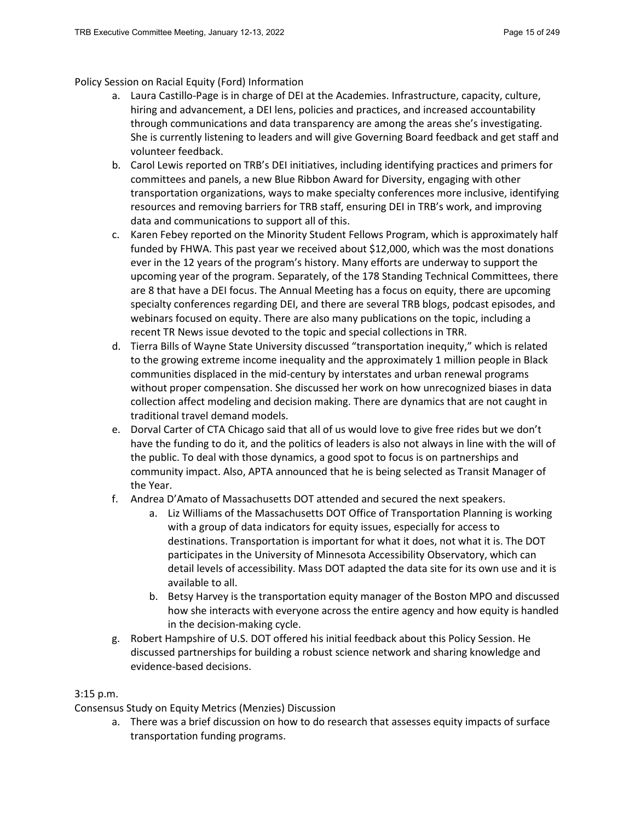## Policy Session on Racial Equity (Ford) Information

- a. Laura Castillo-Page is in charge of DEI at the Academies. Infrastructure, capacity, culture, hiring and advancement, a DEI lens, policies and practices, and increased accountability through communications and data transparency are among the areas she's investigating. She is currently listening to leaders and will give Governing Board feedback and get staff and volunteer feedback.
- b. Carol Lewis reported on TRB's DEI initiatives, including identifying practices and primers for committees and panels, a new Blue Ribbon Award for Diversity, engaging with other transportation organizations, ways to make specialty conferences more inclusive, identifying resources and removing barriers for TRB staff, ensuring DEI in TRB's work, and improving data and communications to support all of this.
- c. Karen Febey reported on the Minority Student Fellows Program, which is approximately half funded by FHWA. This past year we received about \$12,000, which was the most donations ever in the 12 years of the program's history. Many efforts are underway to support the upcoming year of the program. Separately, of the 178 Standing Technical Committees, there are 8 that have a DEI focus. The Annual Meeting has a focus on equity, there are upcoming specialty conferences regarding DEI, and there are several TRB blogs, podcast episodes, and webinars focused on equity. There are also many publications on the topic, including a recent TR News issue devoted to the topic and special collections in TRR.
- d. Tierra Bills of Wayne State University discussed "transportation inequity," which is related to the growing extreme income inequality and the approximately 1 million people in Black communities displaced in the mid-century by interstates and urban renewal programs without proper compensation. She discussed her work on how unrecognized biases in data collection affect modeling and decision making. There are dynamics that are not caught in traditional travel demand models.
- e. Dorval Carter of CTA Chicago said that all of us would love to give free rides but we don't have the funding to do it, and the politics of leaders is also not always in line with the will of the public. To deal with those dynamics, a good spot to focus is on partnerships and community impact. Also, APTA announced that he is being selected as Transit Manager of the Year.
- f. Andrea D'Amato of Massachusetts DOT attended and secured the next speakers.
	- a. Liz Williams of the Massachusetts DOT Office of Transportation Planning is working with a group of data indicators for equity issues, especially for access to destinations. Transportation is important for what it does, not what it is. The DOT participates in the University of Minnesota Accessibility Observatory, which can detail levels of accessibility. Mass DOT adapted the data site for its own use and it is available to all.
	- b. Betsy Harvey is the transportation equity manager of the Boston MPO and discussed how she interacts with everyone across the entire agency and how equity is handled in the decision-making cycle.
- g. Robert Hampshire of U.S. DOT offered his initial feedback about this Policy Session. He discussed partnerships for building a robust science network and sharing knowledge and evidence-based decisions.

# 3:15 p.m.

Consensus Study on Equity Metrics (Menzies) Discussion

a. There was a brief discussion on how to do research that assesses equity impacts of surface transportation funding programs.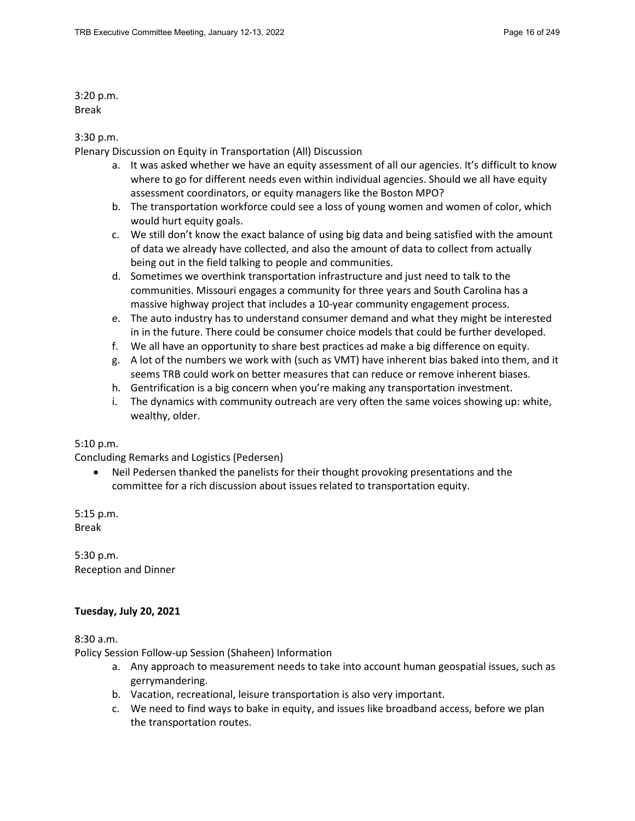3:20 p.m. Break

## 3:30 p.m.

Plenary Discussion on Equity in Transportation (All) Discussion

- a. It was asked whether we have an equity assessment of all our agencies. It's difficult to know where to go for different needs even within individual agencies. Should we all have equity assessment coordinators, or equity managers like the Boston MPO?
- b. The transportation workforce could see a loss of young women and women of color, which would hurt equity goals.
- c. We still don't know the exact balance of using big data and being satisfied with the amount of data we already have collected, and also the amount of data to collect from actually being out in the field talking to people and communities.
- d. Sometimes we overthink transportation infrastructure and just need to talk to the communities. Missouri engages a community for three years and South Carolina has a massive highway project that includes a 10-year community engagement process.
- e. The auto industry has to understand consumer demand and what they might be interested in in the future. There could be consumer choice models that could be further developed.
- f. We all have an opportunity to share best practices ad make a big difference on equity.
- g. A lot of the numbers we work with (such as VMT) have inherent bias baked into them, and it seems TRB could work on better measures that can reduce or remove inherent biases.
- h. Gentrification is a big concern when you're making any transportation investment.
- i. The dynamics with community outreach are very often the same voices showing up: white, wealthy, older.

#### 5:10 p.m.

Concluding Remarks and Logistics (Pedersen)

• Neil Pedersen thanked the panelists for their thought provoking presentations and the committee for a rich discussion about issues related to transportation equity.

5:15 p.m. Break

5:30 p.m. Reception and Dinner

## **Tuesday, July 20, 2021**

8:30 a.m.

Policy Session Follow-up Session (Shaheen) Information

- a. Any approach to measurement needs to take into account human geospatial issues, such as gerrymandering.
- b. Vacation, recreational, leisure transportation is also very important.
- c. We need to find ways to bake in equity, and issues like broadband access, before we plan the transportation routes.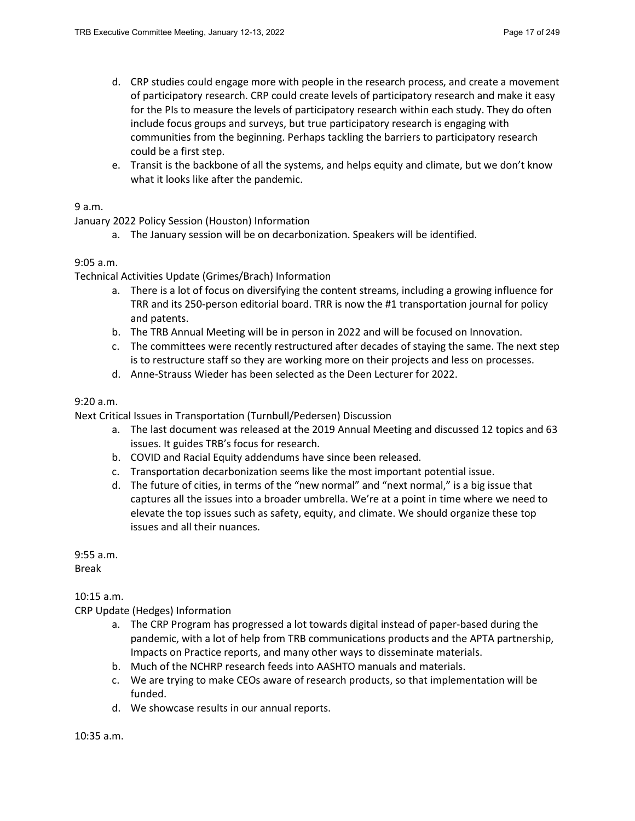- d. CRP studies could engage more with people in the research process, and create a movement of participatory research. CRP could create levels of participatory research and make it easy for the PIs to measure the levels of participatory research within each study. They do often include focus groups and surveys, but true participatory research is engaging with communities from the beginning. Perhaps tackling the barriers to participatory research could be a first step.
- e. Transit is the backbone of all the systems, and helps equity and climate, but we don't know what it looks like after the pandemic.

## 9 a.m.

January 2022 Policy Session (Houston) Information

a. The January session will be on decarbonization. Speakers will be identified.

#### 9:05 a.m.

Technical Activities Update (Grimes/Brach) Information

- a. There is a lot of focus on diversifying the content streams, including a growing influence for TRR and its 250-person editorial board. TRR is now the #1 transportation journal for policy and patents.
- b. The TRB Annual Meeting will be in person in 2022 and will be focused on Innovation.
- c. The committees were recently restructured after decades of staying the same. The next step is to restructure staff so they are working more on their projects and less on processes.
- d. Anne-Strauss Wieder has been selected as the Deen Lecturer for 2022.

#### 9:20 a.m.

Next Critical Issues in Transportation (Turnbull/Pedersen) Discussion

- a. The last document was released at the 2019 Annual Meeting and discussed 12 topics and 63 issues. It guides TRB's focus for research.
- b. COVID and Racial Equity addendums have since been released.
- c. Transportation decarbonization seems like the most important potential issue.
- d. The future of cities, in terms of the "new normal" and "next normal," is a big issue that captures all the issues into a broader umbrella. We're at a point in time where we need to elevate the top issues such as safety, equity, and climate. We should organize these top issues and all their nuances.

9:55 a.m. Break

#### 10:15 a.m.

CRP Update (Hedges) Information

- a. The CRP Program has progressed a lot towards digital instead of paper-based during the pandemic, with a lot of help from TRB communications products and the APTA partnership, Impacts on Practice reports, and many other ways to disseminate materials.
- b. Much of the NCHRP research feeds into AASHTO manuals and materials.
- c. We are trying to make CEOs aware of research products, so that implementation will be funded.
- d. We showcase results in our annual reports.

10:35 a.m.